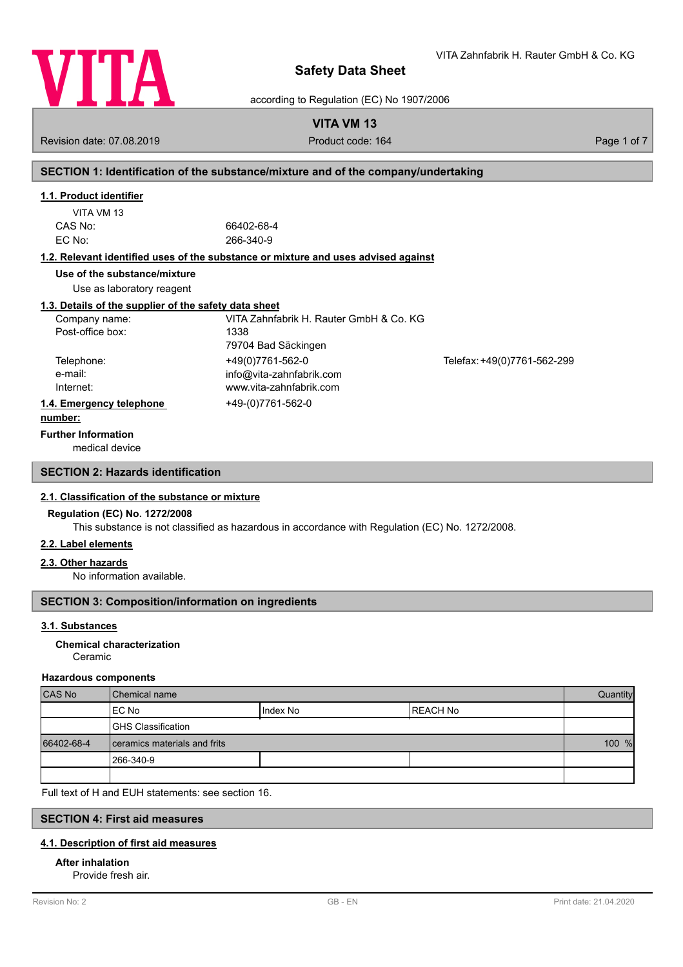

VITA Zahnfabrik H. Rauter GmbH & Co. KG

according to Regulation (EC) No 1907/2006

# **VITA VM 13**

Revision date: 07.08.2019 **Product code: 164** Product code: 164 Page 1 of 7

# **SECTION 1: Identification of the substance/mixture and of the company/undertaking**

# **1.1. Product identifier**

| VITA VM 13 |  |
|------------|--|
| CAS No:    |  |
| EC No:     |  |

66402-68-4 EC No: 266-340-9

# **1.2. Relevant identified uses of the substance or mixture and uses advised against**

**Use of the substance/mixture**

Use as laboratory reagent

# **1.3. Details of the supplier of the safety data sheet**

| Company name:            | VITA Zahnfabrik H. Rauter GmbH & Co. KG |                             |
|--------------------------|-----------------------------------------|-----------------------------|
| Post-office box:         | 1338                                    |                             |
|                          | 79704 Bad Säckingen                     |                             |
| Telephone:               | +49(0)7761-562-0                        | Telefax: +49(0)7761-562-299 |
| e-mail:                  | info@vita-zahnfabrik.com                |                             |
| Internet:                | www.vita-zahnfabrik.com                 |                             |
| 1.4. Emergency telephone | +49-(0)7761-562-0                       |                             |
| .                        |                                         |                             |

#### **number:**

**Further Information**

medical device

# **SECTION 2: Hazards identification**

## **2.1. Classification of the substance or mixture**

## **Regulation (EC) No. 1272/2008**

This substance is not classified as hazardous in accordance with Regulation (EC) No. 1272/2008.

## **2.2. Label elements**

#### **2.3. Other hazards**

No information available.

# **SECTION 3: Composition/information on ingredients**

## **3.1. Substances**

#### Ceramic **Chemical characterization**

#### **Hazardous components**

| CAS No     | <b>I</b> Chemical name       |            | Quantity  |  |
|------------|------------------------------|------------|-----------|--|
|            | IEC No                       | I Index No | IREACH No |  |
|            | <b>GHS Classification</b>    |            |           |  |
| 66402-68-4 | ceramics materials and frits |            | 100 %     |  |
|            | 1266-340-9                   |            |           |  |
|            |                              |            |           |  |

Full text of H and EUH statements: see section 16.

# **SECTION 4: First aid measures**

#### **4.1. Description of first aid measures**

# **After inhalation**

Provide fresh air.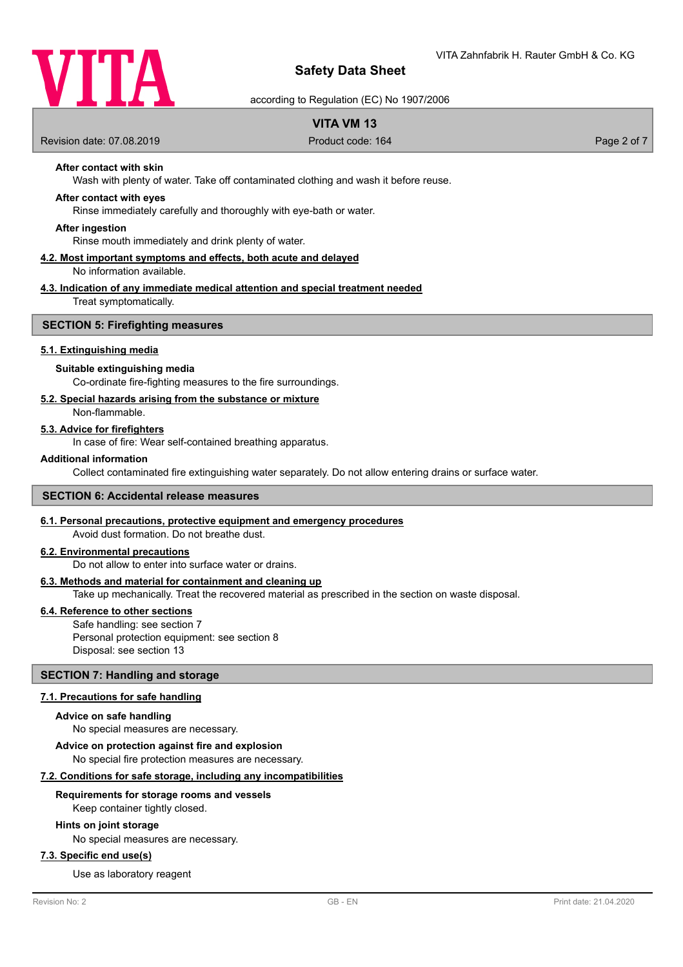

according to Regulation (EC) No 1907/2006

# **VITA VM 13**

Revision date: 07.08.2019 **Product code: 164** Product code: 164 Page 2 of 7

# **After contact with skin**

Wash with plenty of water. Take off contaminated clothing and wash it before reuse.

## **After contact with eyes**

Rinse immediately carefully and thoroughly with eye-bath or water.

#### **After ingestion**

Rinse mouth immediately and drink plenty of water.

#### **4.2. Most important symptoms and effects, both acute and delayed** No information available.

# **4.3. Indication of any immediate medical attention and special treatment needed**

Treat symptomatically.

#### **SECTION 5: Firefighting measures**

#### **5.1. Extinguishing media**

#### **Suitable extinguishing media**

Co-ordinate fire-fighting measures to the fire surroundings.

#### **5.2. Special hazards arising from the substance or mixture**

Non-flammable.

#### **5.3. Advice for firefighters**

In case of fire: Wear self-contained breathing apparatus.

#### **Additional information**

Collect contaminated fire extinguishing water separately. Do not allow entering drains or surface water.

#### **SECTION 6: Accidental release measures**

# **6.1. Personal precautions, protective equipment and emergency procedures**

Avoid dust formation. Do not breathe dust.

# **6.2. Environmental precautions**

Do not allow to enter into surface water or drains.

#### **6.3. Methods and material for containment and cleaning up**

Take up mechanically. Treat the recovered material as prescribed in the section on waste disposal.

#### **6.4. Reference to other sections**

Safe handling: see section 7 Personal protection equipment: see section 8 Disposal: see section 13

## **SECTION 7: Handling and storage**

#### **7.1. Precautions for safe handling**

#### **Advice on safe handling**

No special measures are necessary.

**Advice on protection against fire and explosion**

No special fire protection measures are necessary.

## **7.2. Conditions for safe storage, including any incompatibilities**

#### **Requirements for storage rooms and vessels**

Keep container tightly closed.

#### **Hints on joint storage**

No special measures are necessary.

## **7.3. Specific end use(s)**

Use as laboratory reagent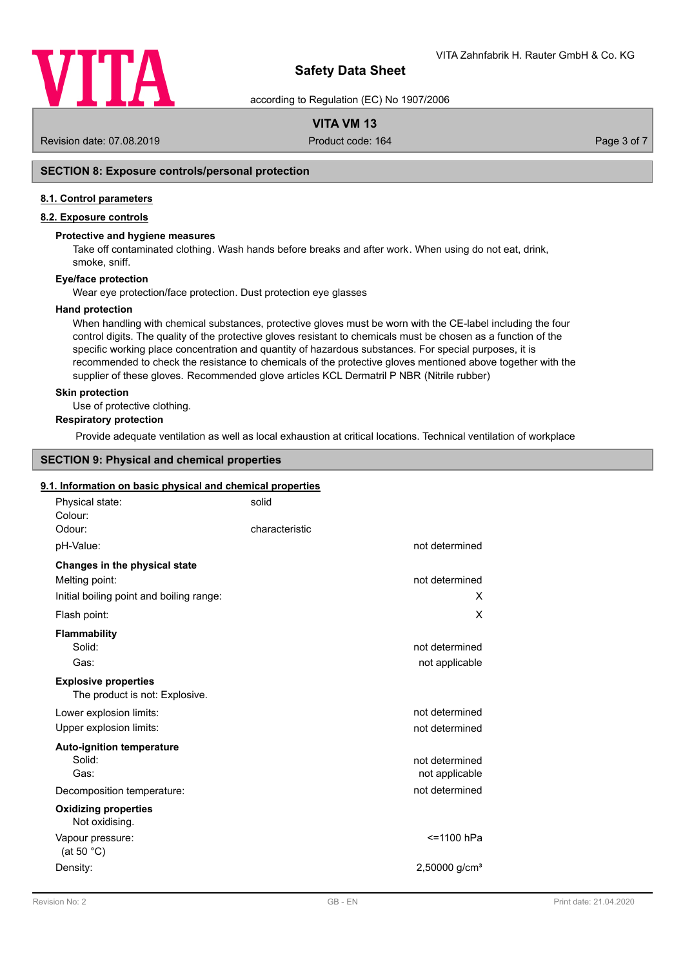

according to Regulation (EC) No 1907/2006

# **VITA VM 13**

Revision date: 07.08.2019 **Product code: 164** Product code: 164 Page 3 of 7

# **SECTION 8: Exposure controls/personal protection**

#### **8.1. Control parameters**

# **8.2. Exposure controls**

#### **Protective and hygiene measures**

Take off contaminated clothing. Wash hands before breaks and after work. When using do not eat, drink, smoke, sniff.

# **Eye/face protection**

Wear eye protection/face protection. Dust protection eye glasses

#### **Hand protection**

When handling with chemical substances, protective gloves must be worn with the CE-label including the four control digits. The quality of the protective gloves resistant to chemicals must be chosen as a function of the specific working place concentration and quantity of hazardous substances. For special purposes, it is recommended to check the resistance to chemicals of the protective gloves mentioned above together with the supplier of these gloves. Recommended glove articles KCL Dermatril P NBR (Nitrile rubber)

#### **Skin protection**

Use of protective clothing.

# **Respiratory protection**

Provide adequate ventilation as well as local exhaustion at critical locations. Technical ventilation of workplace

# **SECTION 9: Physical and chemical properties**

#### **9.1. Information on basic physical and chemical properties**

| Physical state:<br>Colour:                                    | solid                            |
|---------------------------------------------------------------|----------------------------------|
| Odour:                                                        | characteristic                   |
| pH-Value:                                                     | not determined                   |
| Changes in the physical state                                 |                                  |
| Melting point:                                                | not determined                   |
| Initial boiling point and boiling range:                      | x                                |
| Flash point:                                                  | X                                |
| Flammability                                                  |                                  |
| Solid:                                                        | not determined                   |
| Gas:                                                          | not applicable                   |
| <b>Explosive properties</b><br>The product is not: Explosive. |                                  |
| Lower explosion limits:                                       | not determined                   |
| Upper explosion limits:                                       | not determined                   |
| <b>Auto-ignition temperature</b>                              |                                  |
| Solid:<br>Gas:                                                | not determined<br>not applicable |
| Decomposition temperature:                                    | not determined                   |
| <b>Oxidizing properties</b><br>Not oxidising.                 |                                  |
| Vapour pressure:<br>(at 50 $^{\circ}$ C)                      | <=1100 hPa                       |
| Density:                                                      | $2,50000$ g/cm <sup>3</sup>      |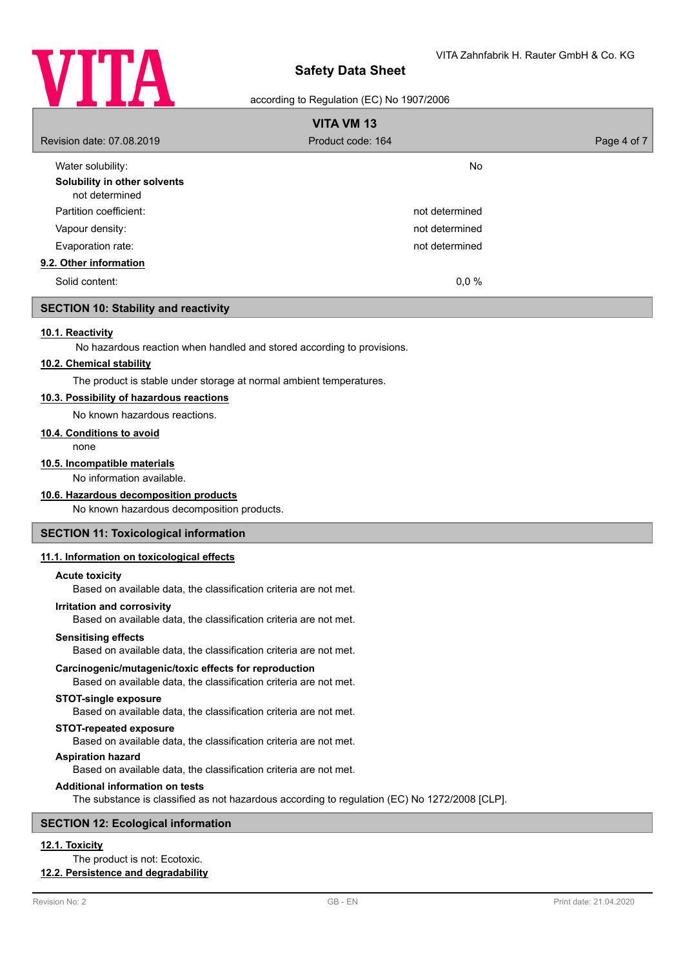

#### according to Regulation (EC) No 1907/2006

| <b>VITA VM 13</b>                              |                   |             |
|------------------------------------------------|-------------------|-------------|
| Revision date: 07.08.2019                      | Product code: 164 | Page 4 of 7 |
| Water solubility:                              | <b>No</b>         |             |
| Solubility in other solvents<br>not determined |                   |             |
| Partition coefficient:                         | not determined    |             |
| Vapour density:                                | not determined    |             |
| Evaporation rate:                              | not determined    |             |
| 9.2. Other information                         |                   |             |
| Solid content:                                 | 0,0%              |             |

## **SECTION 10: Stability and reactivity**

#### **10.1. Reactivity**

No hazardous reaction when handled and stored according to provisions.

#### **10.2. Chemical stability**

The product is stable under storage at normal ambient temperatures.

## **10.3. Possibility of hazardous reactions**

No known hazardous reactions.

## **10.4. Conditions to avoid**

none

#### **10.5. Incompatible materials**

No information available.

#### **10.6. Hazardous decomposition products**

No known hazardous decomposition products.

#### **SECTION 11: Toxicological information**

#### **11.1. Information on toxicological effects**

#### **Acute toxicity**

Based on available data, the classification criteria are not met.

#### **Irritation and corrosivity**

Based on available data, the classification criteria are not met.

#### **Sensitising effects**

Based on available data, the classification criteria are not met.

#### **Carcinogenic/mutagenic/toxic effects for reproduction**

Based on available data, the classification criteria are not met.

## **STOT-single exposure**

Based on available data, the classification criteria are not met.

#### **STOT-repeated exposure**

Based on available data, the classification criteria are not met.

#### **Aspiration hazard**

Based on available data, the classification criteria are not met.

#### **Additional information on tests**

The substance is classified as not hazardous according to regulation (EC) No 1272/2008 [CLP].

## **SECTION 12: Ecological information**

# **12.1. Toxicity**

The product is not: Ecotoxic.

# **12.2. Persistence and degradability**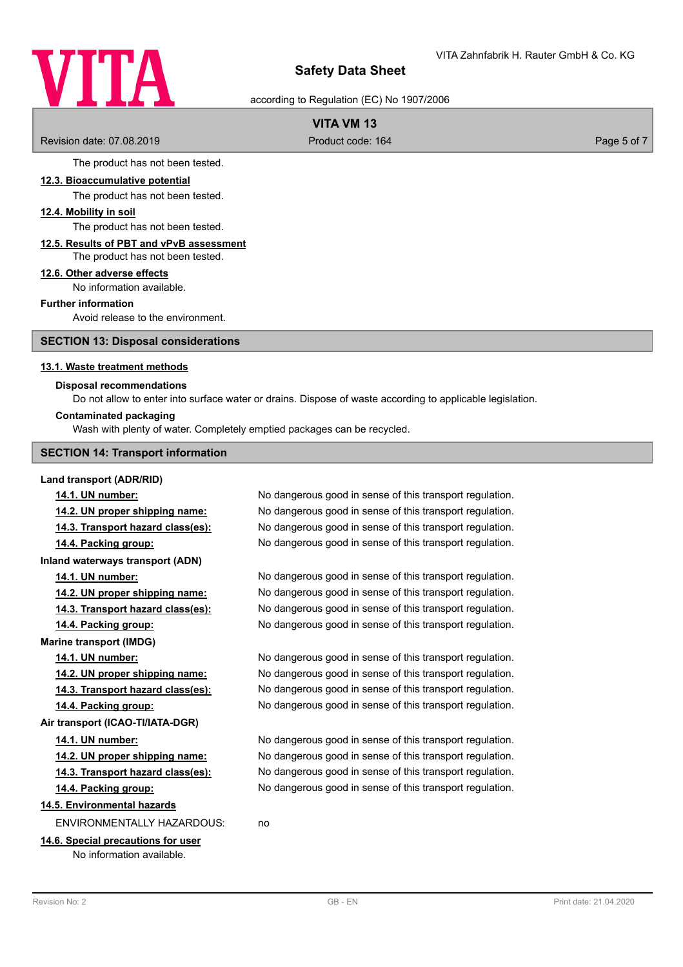# VITA

# **Safety Data Sheet**

according to Regulation (EC) No 1907/2006

# **VITA VM 13**

Revision date: 07.08.2019 **Product code: 164** Product code: 164 Page 5 of 7

The product has not been tested.

#### **12.3. Bioaccumulative potential**

The product has not been tested.

## **12.4. Mobility in soil**

The product has not been tested.

#### **12.5. Results of PBT and vPvB assessment** The product has not been tested.

# **12.6. Other adverse effects**

No information available.

#### **Further information**

Avoid release to the environment.

**SECTION 13: Disposal considerations**

#### **13.1. Waste treatment methods**

#### **Disposal recommendations**

Do not allow to enter into surface water or drains. Dispose of waste according to applicable legislation.

#### **Contaminated packaging**

Wash with plenty of water. Completely emptied packages can be recycled.

#### **SECTION 14: Transport information**

#### **Land transport (ADR/RID)**

**Marine transport (IMDG)**

**14.1. UN number:** No dangerous good in sense of this transport regulation. **14.2. UN proper shipping name:** No dangerous good in sense of this transport regulation. **14.3. Transport hazard class(es):** No dangerous good in sense of this transport regulation. **14.4. Packing group:** No dangerous good in sense of this transport regulation. **Inland waterways transport (ADN) 14.1. UN number:** No dangerous good in sense of this transport regulation. **14.2. UN proper shipping name:** No dangerous good in sense of this transport regulation.

**14.3. Transport hazard class(es):** No dangerous good in sense of this transport regulation. **14.4. Packing group:** No dangerous good in sense of this transport regulation.

**14.1. UN number:** No dangerous good in sense of this transport regulation. **14.2. UN proper shipping name:** No dangerous good in sense of this transport regulation. **14.3. Transport hazard class(es):** No dangerous good in sense of this transport regulation. **14.4. Packing group:** No dangerous good in sense of this transport regulation.

**14.1. UN number:** No dangerous good in sense of this transport regulation. **14.2. UN proper shipping name:** No dangerous good in sense of this transport regulation. **14.3. Transport hazard class(es):** No dangerous good in sense of this transport regulation. **14.4. Packing group:** No dangerous good in sense of this transport regulation.

# **14.5. Environmental hazards**

ENVIRONMENTALLY HAZARDOUS: no

# **14.6. Special precautions for user**

**Air transport (ICAO-TI/IATA-DGR)**

No information available.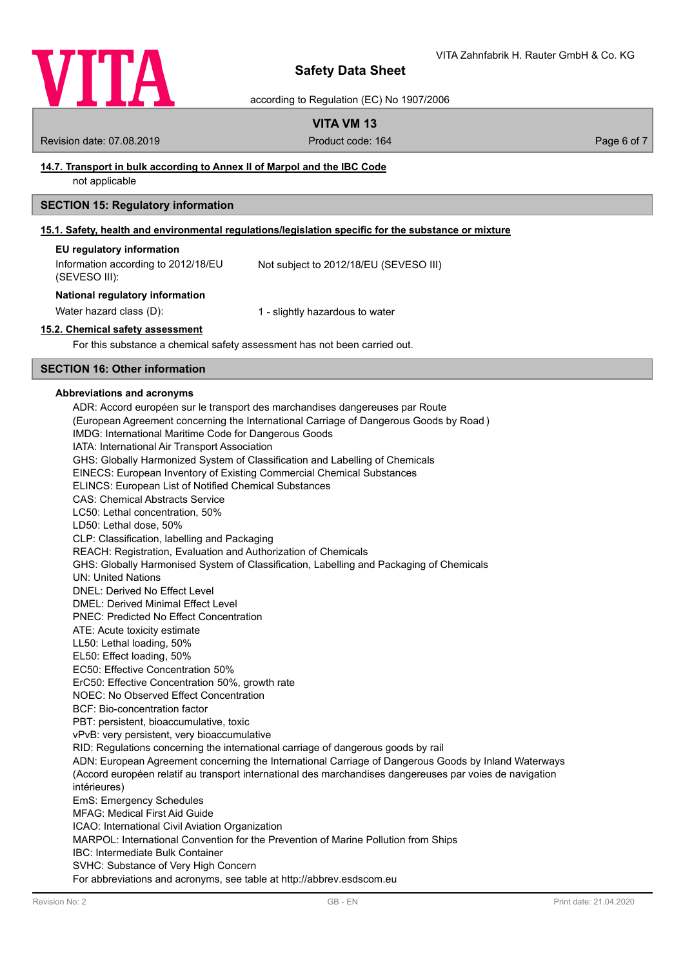

according to Regulation (EC) No 1907/2006

# **VITA VM 13**

Revision date: 07.08.2019 **Product code: 164** Product code: 164 **Page 6 of 7** Page 6 of 7

# **14.7. Transport in bulk according to Annex II of Marpol and the IBC Code**

not applicable

## **SECTION 15: Regulatory information**

#### **15.1. Safety, health and environmental regulations/legislation specific for the substance or mixture**

| EU regulatory information           |                                        |
|-------------------------------------|----------------------------------------|
| Information according to 2012/18/EU | Not subject to 2012/18/EU (SEVESO III) |
| (SEVESO III):                       |                                        |

#### **National regulatory information**

Water hazard class (D): 1 - slightly hazardous to water

#### **15.2. Chemical safety assessment**

For this substance a chemical safety assessment has not been carried out.

# **SECTION 16: Other information**

#### **Abbreviations and acronyms**

ADR: Accord européen sur le transport des marchandises dangereuses par Route (European Agreement concerning the International Carriage of Dangerous Goods by Road ) IMDG: International Maritime Code for Dangerous Goods IATA: International Air Transport Association GHS: Globally Harmonized System of Classification and Labelling of Chemicals EINECS: European Inventory of Existing Commercial Chemical Substances ELINCS: European List of Notified Chemical Substances CAS: Chemical Abstracts Service LC50: Lethal concentration, 50% LD50: Lethal dose, 50% CLP: Classification, labelling and Packaging REACH: Registration, Evaluation and Authorization of Chemicals GHS: Globally Harmonised System of Classification, Labelling and Packaging of Chemicals UN: United Nations DNEL: Derived No Effect Level DMEL: Derived Minimal Effect Level PNEC: Predicted No Effect Concentration ATE: Acute toxicity estimate LL50: Lethal loading, 50% EL50: Effect loading, 50% EC50: Effective Concentration 50% ErC50: Effective Concentration 50%, growth rate NOEC: No Observed Effect Concentration BCF: Bio-concentration factor PBT: persistent, bioaccumulative, toxic vPvB: very persistent, very bioaccumulative RID: Regulations concerning the international carriage of dangerous goods by rail ADN: European Agreement concerning the International Carriage of Dangerous Goods by Inland Waterways (Accord européen relatif au transport international des marchandises dangereuses par voies de navigation intérieures) EmS: Emergency Schedules MFAG: Medical First Aid Guide ICAO: International Civil Aviation Organization MARPOL: International Convention for the Prevention of Marine Pollution from Ships IBC: Intermediate Bulk Container SVHC: Substance of Very High Concern For abbreviations and acronyms, see table at http://abbrev.esdscom.eu